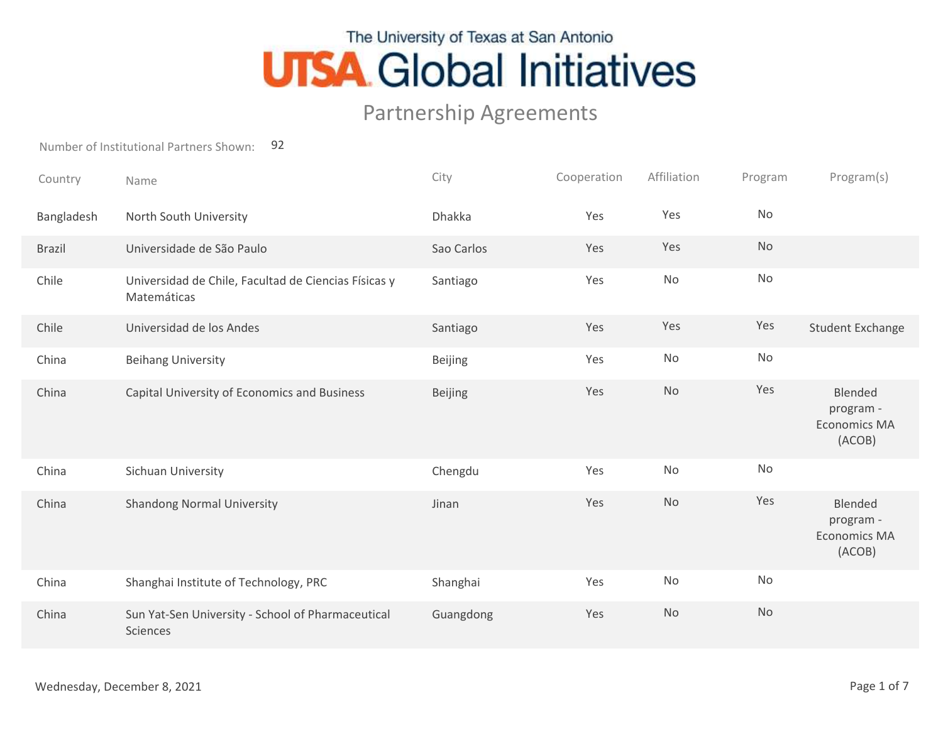## The University of Texas at San Antonio **UTSA Global Initiatives**

## Partnership Agreements

Number of Institutional Partners Shown: 92

| Country       | Name                                                                | City           | Cooperation | Affiliation | Program   | Program(s)                                            |
|---------------|---------------------------------------------------------------------|----------------|-------------|-------------|-----------|-------------------------------------------------------|
| Bangladesh    | North South University                                              | Dhakka         | Yes         | Yes         | <b>No</b> |                                                       |
| <b>Brazil</b> | Universidade de São Paulo                                           | Sao Carlos     | Yes         | Yes         | No        |                                                       |
| Chile         | Universidad de Chile, Facultad de Ciencias Físicas y<br>Matemáticas | Santiago       | Yes         | <b>No</b>   | <b>No</b> |                                                       |
| Chile         | Universidad de los Andes                                            | Santiago       | Yes         | Yes         | Yes       | <b>Student Exchange</b>                               |
| China         | <b>Beihang University</b>                                           | <b>Beijing</b> | Yes         | No          | No        |                                                       |
| China         | Capital University of Economics and Business                        | <b>Beijing</b> | Yes         | <b>No</b>   | Yes       | Blended<br>program -<br><b>Economics MA</b><br>(ACOB) |
| China         | Sichuan University                                                  | Chengdu        | Yes         | No          | <b>No</b> |                                                       |
| China         | <b>Shandong Normal University</b>                                   | Jinan          | Yes         | <b>No</b>   | Yes       | Blended<br>program -<br><b>Economics MA</b><br>(ACOB) |
| China         | Shanghai Institute of Technology, PRC                               | Shanghai       | Yes         | No          | No        |                                                       |
| China         | Sun Yat-Sen University - School of Pharmaceutical<br>Sciences       | Guangdong      | Yes         | <b>No</b>   | No        |                                                       |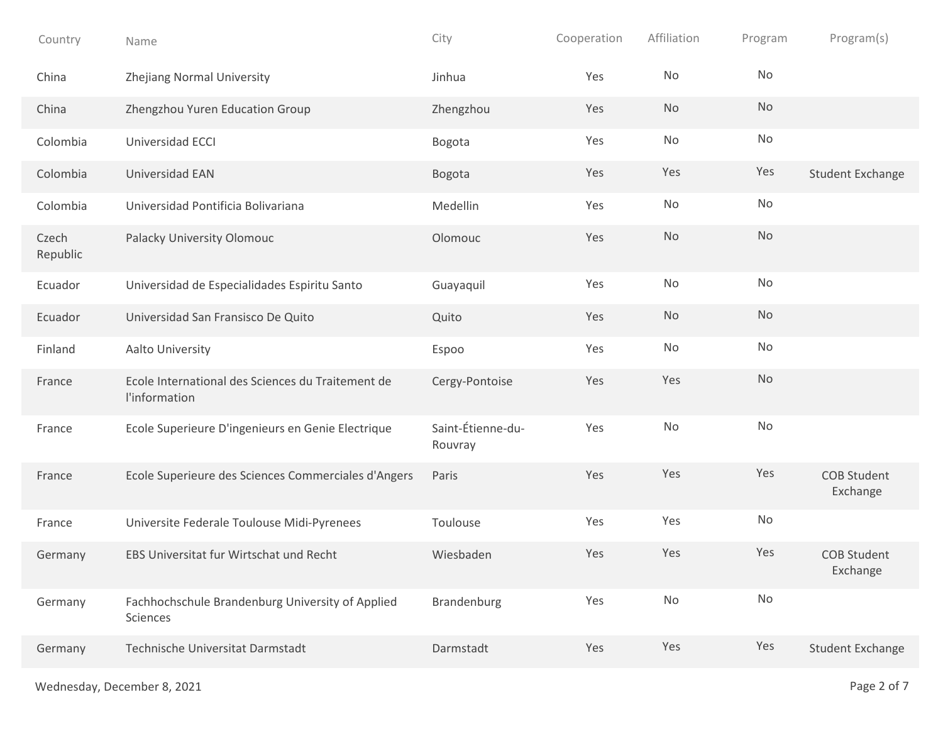| Country           | Name                                                               | City                         | Cooperation | Affiliation | Program   | Program(s)                     |
|-------------------|--------------------------------------------------------------------|------------------------------|-------------|-------------|-----------|--------------------------------|
| China             | Zhejiang Normal University                                         | Jinhua                       | Yes         | No          | No        |                                |
| China             | Zhengzhou Yuren Education Group                                    | Zhengzhou                    | Yes         | No          | No        |                                |
| Colombia          | Universidad ECCI                                                   | Bogota                       | Yes         | No          | No        |                                |
| Colombia          | Universidad EAN                                                    | Bogota                       | Yes         | Yes         | Yes       | <b>Student Exchange</b>        |
| Colombia          | Universidad Pontificia Bolivariana                                 | Medellin                     | Yes         | No          | No        |                                |
| Czech<br>Republic | Palacky University Olomouc                                         | Olomouc                      | Yes         | No          | No        |                                |
| Ecuador           | Universidad de Especialidades Espiritu Santo                       | Guayaquil                    | Yes         | No          | No        |                                |
| Ecuador           | Universidad San Fransisco De Quito                                 | Quito                        | Yes         | No          | No        |                                |
| Finland           | Aalto University                                                   | Espoo                        | Yes         | No          | No        |                                |
| France            | Ecole International des Sciences du Traitement de<br>l'information | Cergy-Pontoise               | Yes         | Yes         | <b>No</b> |                                |
| France            | Ecole Superieure D'ingenieurs en Genie Electrique                  | Saint-Étienne-du-<br>Rouvray | Yes         | No          | No        |                                |
| France            | Ecole Superieure des Sciences Commerciales d'Angers                | Paris                        | Yes         | Yes         | Yes       | <b>COB Student</b><br>Exchange |
| France            | Universite Federale Toulouse Midi-Pyrenees                         | Toulouse                     | Yes         | Yes         | No        |                                |
| Germany           | EBS Universitat fur Wirtschat und Recht                            | Wiesbaden                    | Yes         | Yes         | Yes       | <b>COB Student</b><br>Exchange |
| Germany           | Fachhochschule Brandenburg University of Applied<br>Sciences       | Brandenburg                  | Yes         | No          | No        |                                |
| Germany           | Technische Universitat Darmstadt                                   | Darmstadt                    | Yes         | Yes         | Yes       | <b>Student Exchange</b>        |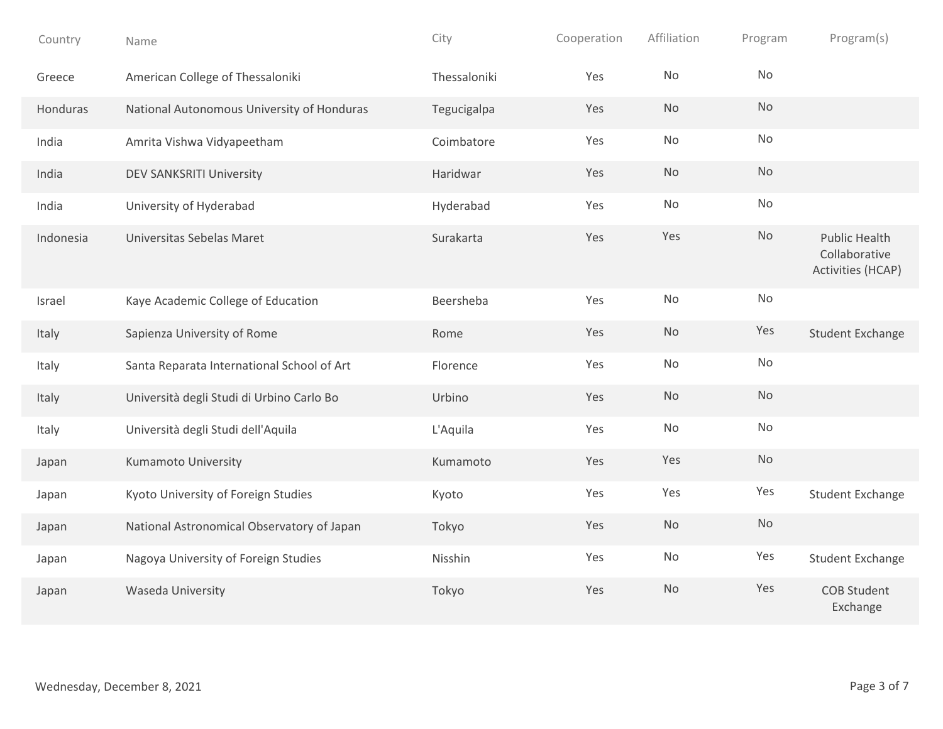| Country   | Name                                       | City         | Cooperation | Affiliation | Program   | Program(s)                                                 |
|-----------|--------------------------------------------|--------------|-------------|-------------|-----------|------------------------------------------------------------|
| Greece    | American College of Thessaloniki           | Thessaloniki | Yes         | <b>No</b>   | No        |                                                            |
| Honduras  | National Autonomous University of Honduras | Tegucigalpa  | Yes         | <b>No</b>   | <b>No</b> |                                                            |
| India     | Amrita Vishwa Vidyapeetham                 | Coimbatore   | Yes         | No          | No        |                                                            |
| India     | DEV SANKSRITI University                   | Haridwar     | Yes         | <b>No</b>   | No        |                                                            |
| India     | University of Hyderabad                    | Hyderabad    | Yes         | <b>No</b>   | No        |                                                            |
| Indonesia | Universitas Sebelas Maret                  | Surakarta    | Yes         | Yes         | No        | <b>Public Health</b><br>Collaborative<br>Activities (HCAP) |
| Israel    | Kaye Academic College of Education         | Beersheba    | Yes         | No          | No        |                                                            |
| Italy     | Sapienza University of Rome                | Rome         | Yes         | <b>No</b>   | Yes       | <b>Student Exchange</b>                                    |
| Italy     | Santa Reparata International School of Art | Florence     | Yes         | <b>No</b>   | No        |                                                            |
| Italy     | Università degli Studi di Urbino Carlo Bo  | Urbino       | Yes         | <b>No</b>   | No        |                                                            |
| Italy     | Università degli Studi dell'Aquila         | L'Aquila     | Yes         | No          | No        |                                                            |
| Japan     | <b>Kumamoto University</b>                 | Kumamoto     | Yes         | Yes         | <b>No</b> |                                                            |
| Japan     | Kyoto University of Foreign Studies        | Kyoto        | Yes         | Yes         | Yes       | <b>Student Exchange</b>                                    |
| Japan     | National Astronomical Observatory of Japan | Tokyo        | Yes         | No          | <b>No</b> |                                                            |
| Japan     | Nagoya University of Foreign Studies       | Nisshin      | Yes         | No          | Yes       | <b>Student Exchange</b>                                    |
| Japan     | Waseda University                          | Tokyo        | Yes         | <b>No</b>   | Yes       | <b>COB Student</b><br>Exchange                             |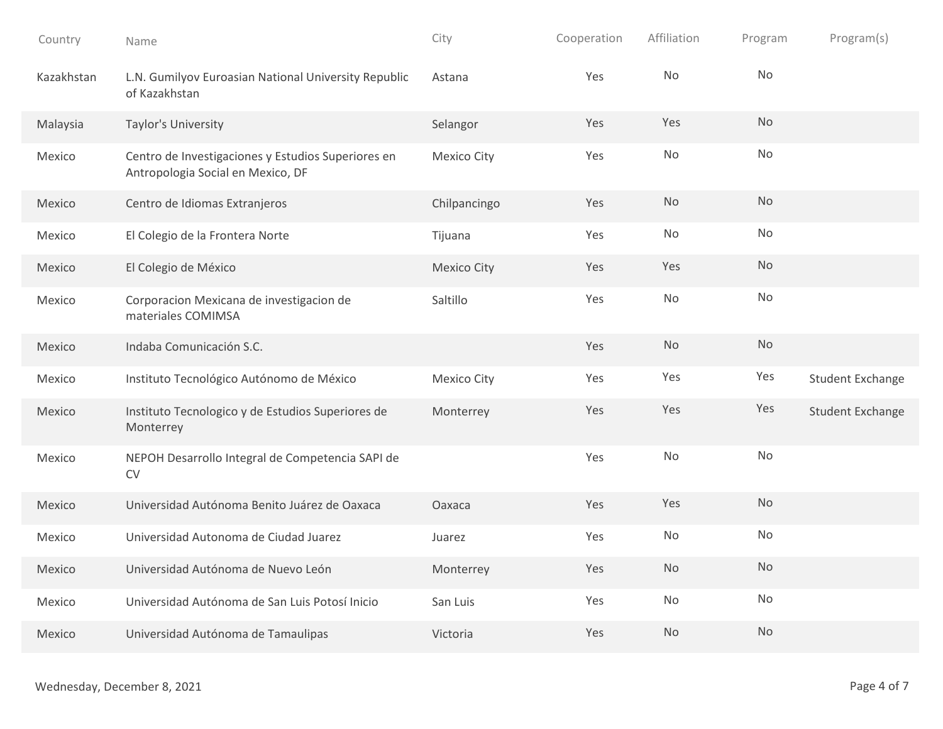| Country    | Name                                                                                    | City               | Cooperation | Affiliation | Program   | Program(s)              |
|------------|-----------------------------------------------------------------------------------------|--------------------|-------------|-------------|-----------|-------------------------|
| Kazakhstan | L.N. Gumilyov Euroasian National University Republic<br>of Kazakhstan                   | Astana             | Yes         | No          | <b>No</b> |                         |
| Malaysia   | Taylor's University                                                                     | Selangor           | Yes         | Yes         | <b>No</b> |                         |
| Mexico     | Centro de Investigaciones y Estudios Superiores en<br>Antropologia Social en Mexico, DF | Mexico City        | Yes         | No          | No        |                         |
| Mexico     | Centro de Idiomas Extranjeros                                                           | Chilpancingo       | Yes         | <b>No</b>   | <b>No</b> |                         |
| Mexico     | El Colegio de la Frontera Norte                                                         | Tijuana            | Yes         | No          | No        |                         |
| Mexico     | El Colegio de México                                                                    | <b>Mexico City</b> | Yes         | Yes         | <b>No</b> |                         |
| Mexico     | Corporacion Mexicana de investigacion de<br>materiales COMIMSA                          | Saltillo           | Yes         | No          | No        |                         |
| Mexico     | Indaba Comunicación S.C.                                                                |                    | Yes         | No          | <b>No</b> |                         |
| Mexico     | Instituto Tecnológico Autónomo de México                                                | <b>Mexico City</b> | Yes         | Yes         | Yes       | <b>Student Exchange</b> |
| Mexico     | Instituto Tecnologico y de Estudios Superiores de<br>Monterrey                          | Monterrey          | Yes         | Yes         | Yes       | <b>Student Exchange</b> |
| Mexico     | NEPOH Desarrollo Integral de Competencia SAPI de<br>${\sf CV}$                          |                    | Yes         | No          | No        |                         |
| Mexico     | Universidad Autónoma Benito Juárez de Oaxaca                                            | Oaxaca             | Yes         | Yes         | <b>No</b> |                         |
| Mexico     | Universidad Autonoma de Ciudad Juarez                                                   | Juarez             | Yes         | No          | No        |                         |
| Mexico     | Universidad Autónoma de Nuevo León                                                      | Monterrey          | Yes         | No          | No        |                         |
| Mexico     | Universidad Autónoma de San Luis Potosí Inicio                                          | San Luis           | Yes         | No          | No        |                         |
| Mexico     | Universidad Autónoma de Tamaulipas                                                      | Victoria           | Yes         | <b>No</b>   | No        |                         |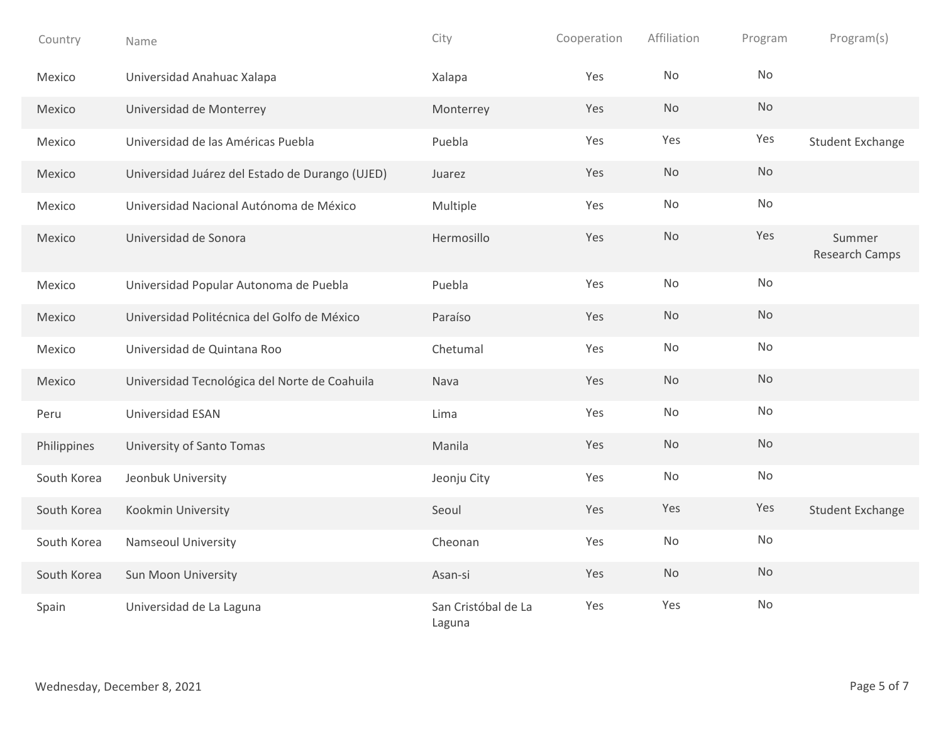| Country     | Name                                            | City                          | Cooperation | Affiliation | Program       | Program(s)               |
|-------------|-------------------------------------------------|-------------------------------|-------------|-------------|---------------|--------------------------|
| Mexico      | Universidad Anahuac Xalapa                      | Xalapa                        | Yes         | <b>No</b>   | <b>No</b>     |                          |
| Mexico      | Universidad de Monterrey                        | Monterrey                     | Yes         | No          | No            |                          |
| Mexico      | Universidad de las Américas Puebla              | Puebla                        | Yes         | Yes         | Yes           | <b>Student Exchange</b>  |
| Mexico      | Universidad Juárez del Estado de Durango (UJED) | Juarez                        | Yes         | No          | $\mathsf{No}$ |                          |
| Mexico      | Universidad Nacional Autónoma de México         | Multiple                      | Yes         | No          | <b>No</b>     |                          |
| Mexico      | Universidad de Sonora                           | Hermosillo                    | Yes         | No          | Yes           | Summer<br>Research Camps |
| Mexico      | Universidad Popular Autonoma de Puebla          | Puebla                        | Yes         | No          | No            |                          |
| Mexico      | Universidad Politécnica del Golfo de México     | Paraíso                       | Yes         | No          | <b>No</b>     |                          |
| Mexico      | Universidad de Quintana Roo                     | Chetumal                      | Yes         | No          | No            |                          |
| Mexico      | Universidad Tecnológica del Norte de Coahuila   | Nava                          | Yes         | No          | <b>No</b>     |                          |
| Peru        | Universidad ESAN                                | Lima                          | Yes         | No          | No            |                          |
| Philippines | University of Santo Tomas                       | Manila                        | Yes         | <b>No</b>   | <b>No</b>     |                          |
| South Korea | Jeonbuk University                              | Jeonju City                   | Yes         | No          | No            |                          |
| South Korea | Kookmin University                              | Seoul                         | Yes         | Yes         | Yes           | <b>Student Exchange</b>  |
| South Korea | Namseoul University                             | Cheonan                       | Yes         | No          | $\mathsf{No}$ |                          |
| South Korea | Sun Moon University                             | Asan-si                       | Yes         | No          | <b>No</b>     |                          |
| Spain       | Universidad de La Laguna                        | San Cristóbal de La<br>Laguna | Yes         | Yes         | No            |                          |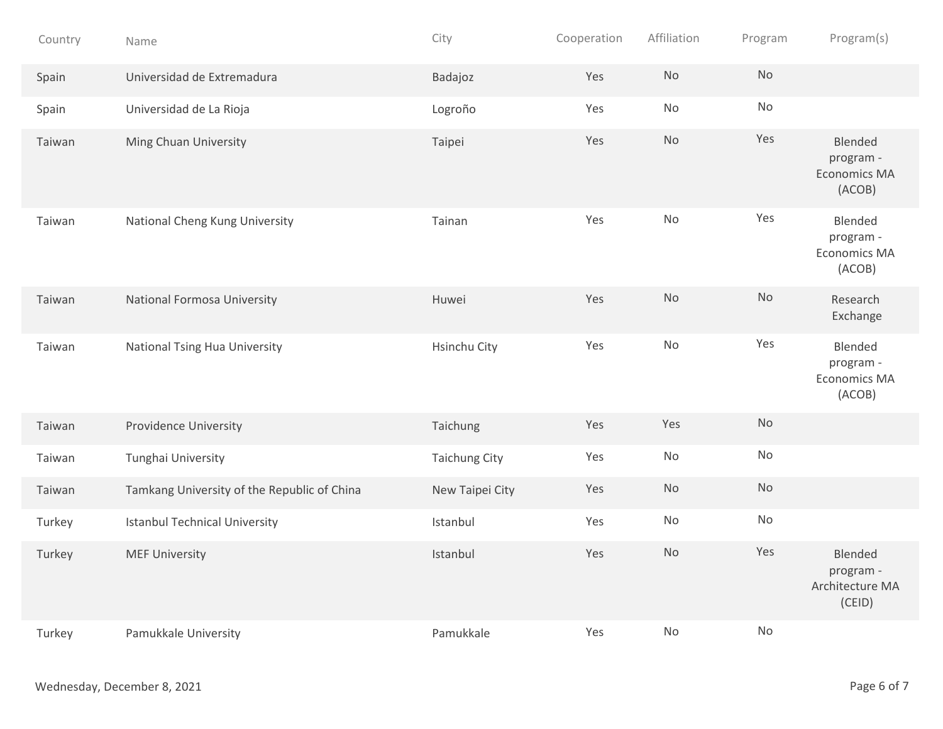| Country | Name                                        | City                 | Cooperation | Affiliation | Program       | Program(s)                                            |
|---------|---------------------------------------------|----------------------|-------------|-------------|---------------|-------------------------------------------------------|
| Spain   | Universidad de Extremadura                  | Badajoz              | Yes         | <b>No</b>   | No            |                                                       |
| Spain   | Universidad de La Rioja                     | Logroño              | Yes         | No          | No            |                                                       |
| Taiwan  | Ming Chuan University                       | Taipei               | Yes         | No          | Yes           | Blended<br>program -<br><b>Economics MA</b><br>(ACOB) |
| Taiwan  | National Cheng Kung University              | Tainan               | Yes         | No          | Yes           | Blended<br>program -<br><b>Economics MA</b><br>(ACOB) |
| Taiwan  | National Formosa University                 | Huwei                | Yes         | <b>No</b>   | <b>No</b>     | Research<br>Exchange                                  |
| Taiwan  | <b>National Tsing Hua University</b>        | Hsinchu City         | Yes         | No          | Yes           | Blended<br>program -<br><b>Economics MA</b><br>(ACOB) |
| Taiwan  | Providence University                       | Taichung             | Yes         | Yes         | No            |                                                       |
| Taiwan  | Tunghai University                          | <b>Taichung City</b> | Yes         | No          | $\mathsf{No}$ |                                                       |
| Taiwan  | Tamkang University of the Republic of China | New Taipei City      | Yes         | No          | No            |                                                       |
| Turkey  | <b>Istanbul Technical University</b>        | Istanbul             | Yes         | No          | No            |                                                       |
| Turkey  | <b>MEF University</b>                       | Istanbul             | Yes         | No          | Yes           | Blended<br>program -<br>Architecture MA<br>(CEID)     |
| Turkey  | Pamukkale University                        | Pamukkale            | Yes         | No          | No            |                                                       |